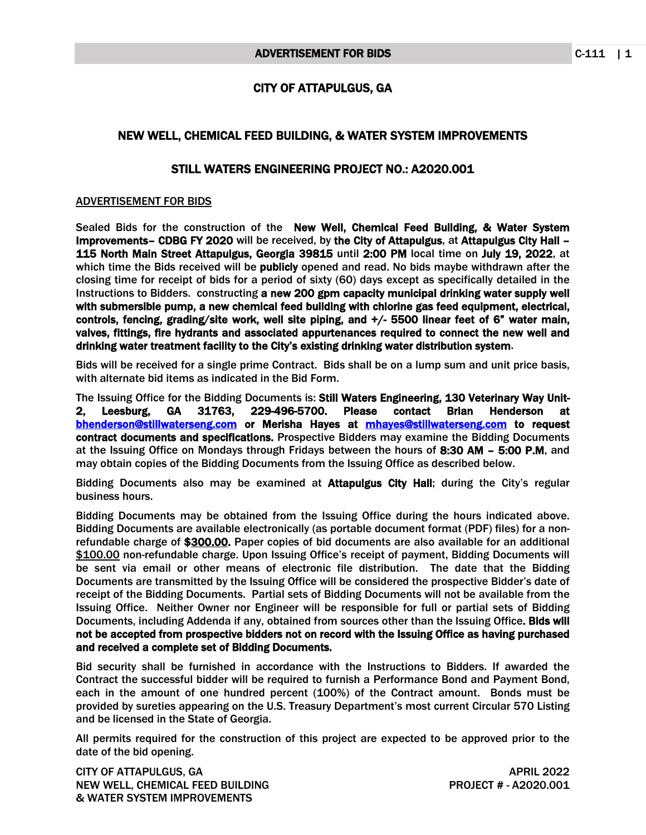## CITY OF ATTAPULGUS, GA

## NEW WELL, CHEMICAL FEED BUILDING, & WATER SYSTEM IMPROVEMENTS

## STILL WATERS ENGINEERING PROJECT NO.: A2020.001

## ADVERTISEMENT FOR BIDS

Sealed Bids for the construction of the New Well, Chemical Feed Building, & Water System Improvements– CDBG FY 2020 will be received, by the City of Attapulgus, at Attapulgus City Hall – 115 North Main Street Attapulgus, Georgia 39815 until 2:00 PM local time on July 19, 2022, at which time the Bids received will be publicly opened and read. No bids maybe withdrawn after the closing time for receipt of bids for a period of sixty (60) days except as specifically detailed in the Instructions to Bidders. constructing a new 200 gpm capacity municipal drinking water supply well with submersible pump, a new chemical feed building with chlorine gas feed equipment, electrical, controls, fencing, grading/site work, well site piping, and +/- 5500 linear feet of 6" water main, valves, fittings, fire hydrants and associated appurtenances required to connect the new well and drinking water treatment facility to the City's existing drinking water distribution system.

Bids will be received for a single prime Contract. Bids shall be on a lump sum and unit price basis, with alternate bid items as indicated in the Bid Form.

The Issuing Office for the Bidding Documents is: Still Waters Engineering, 130 Veterinary Way Unit-2, Leesburg, GA 31763, 229-496-5700. Please contact Brian Henderson at [bhenderson@stillwaterseng.com](mailto:bhenderson@stillwaterseng.com) or Merisha Hayes at [mhayes@stillwaterseng.com](mailto:mhayes@stillwaterseng.com) to request contract documents and specifications. Prospective Bidders may examine the Bidding Documents at the Issuing Office on Mondays through Fridays between the hours of 8:30 AM – 5:00 P.M, and may obtain copies of the Bidding Documents from the Issuing Office as described below.

Bidding Documents also may be examined at **Attapulgus City Hall**; during the City's regular business hours.

Bidding Documents may be obtained from the Issuing Office during the hours indicated above. Bidding Documents are available electronically (as portable document format (PDF) files) for a nonrefundable charge of \$300.00. Paper copies of bid documents are also available for an additional \$100.00 non-refundable charge. Upon Issuing Office's receipt of payment, Bidding Documents will be sent via email or other means of electronic file distribution. The date that the Bidding Documents are transmitted by the Issuing Office will be considered the prospective Bidder's date of receipt of the Bidding Documents. Partial sets of Bidding Documents will not be available from the Issuing Office. Neither Owner nor Engineer will be responsible for full or partial sets of Bidding Documents, including Addenda if any, obtained from sources other than the Issuing Office. Bids will not be accepted from prospective bidders not on record with the Issuing Office as having purchased and received a complete set of Bidding Documents.

Bid security shall be furnished in accordance with the Instructions to Bidders. If awarded the Contract the successful bidder will be required to furnish a Performance Bond and Payment Bond, each in the amount of one hundred percent (100%) of the Contract amount. Bonds must be provided by sureties appearing on the U.S. Treasury Department's most current Circular 570 Listing and be licensed in the State of Georgia.

All permits required for the construction of this project are expected to be approved prior to the date of the bid opening.

CITY OF ATTAPULGUS, GA APRIL 2022 NEW WELL, CHEMICAL FEED BUILDING PROJECT # - A2020.001 & WATER SYSTEM IMPROVEMENTS